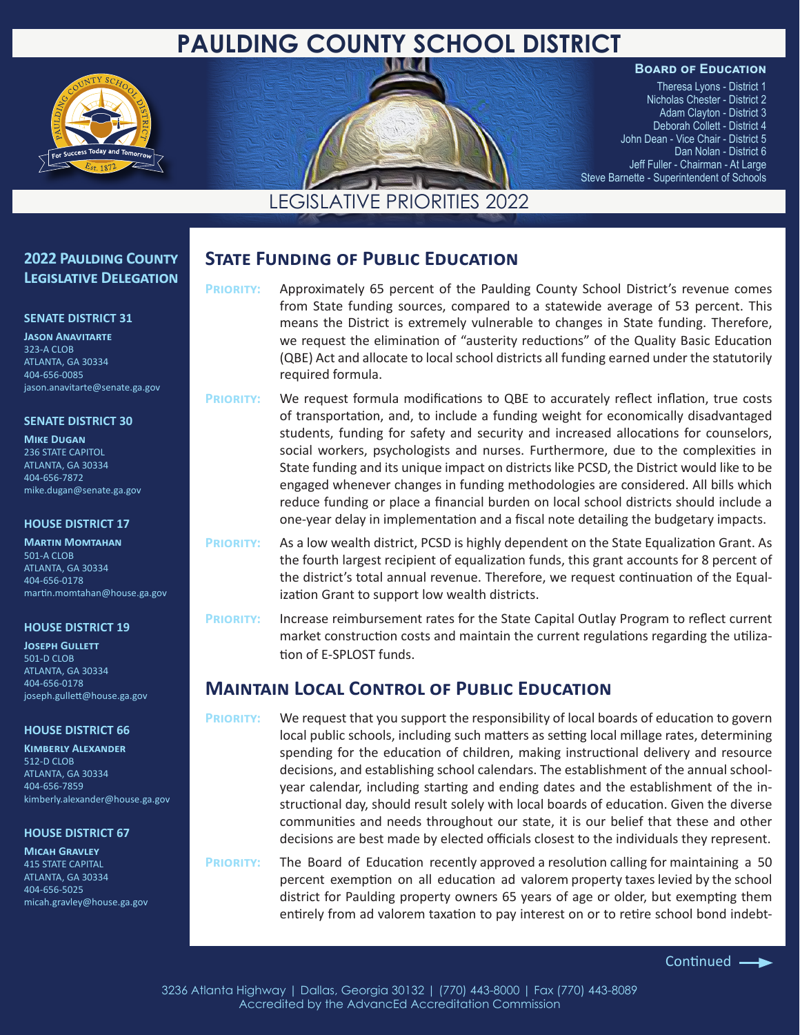# **PAULDING COUNTY SCHOOL DISTRICT**



#### **Board of Education**

Theresa Lyons - District 1 Nicholas Chester - District 2 Adam Clayton - District 3 Deborah Collett - District 4 John Dean - Vice Chair - District 5 Dan Nolan - District 6 Jeff Fuller - Chairman - At Large Steve Barnette - Superintendent of Schools

## LEGISLATIVE PRIORITIES 2022

## **2022 Paulding County Legislative Delegation**

#### **SENATE DISTRICT 31**

**Jason Anavitarte** 323-A CLOB ATLANTA, GA 30334 404-656-0085 jason.anavitarte@senate.ga.gov

#### **SENATE DISTRICT 30**

**Mike Dugan** 236 STATE CAPITOL ATLANTA, GA 30334 404-656-7872 mike.dugan@senate.ga.gov

#### **HOUSE DISTRICT 17**

**Martin Momtahan** 501-A CLOB ATLANTA, GA 30334 404-656-0178 martin.momtahan@house.ga.gov

#### **HOUSE DISTRICT 19**

**JOSEPH GULLETT** 501-D CLOB ATLANTA, GA 30334 404-656-0178 joseph.gullett@house.ga.gov

#### **HOUSE DISTRICT 66**

**Kimberly Alexander** 512-D CLOB ATLANTA, GA 30334 404-656-7859 kimberly.alexander@house.ga.gov

#### **HOUSE DISTRICT 67**

**Micah Gravley** 415 STATE CAPITAL ATLANTA, GA 30334 404-656-5025 micah.gravley@house.ga.gov

## **State Funding of Public Education**

**Priority:** Approximately 65 percent of the Paulding County School District's revenue comes from State funding sources, compared to a statewide average of 53 percent. This means the District is extremely vulnerable to changes in State funding. Therefore, we request the elimination of "austerity reductions" of the Quality Basic Education (QBE) Act and allocate to local school districts all funding earned under the statutorily required formula.

**Priority:** We request formula modifications to QBE to accurately reflect inflation, true costs of transportation, and, to include a funding weight for economically disadvantaged students, funding for safety and security and increased allocations for counselors, social workers, psychologists and nurses. Furthermore, due to the complexities in State funding and its unique impact on districts like PCSD, the District would like to be engaged whenever changes in funding methodologies are considered. All bills which reduce funding or place a financial burden on local school districts should include a one-year delay in implementation and a fiscal note detailing the budgetary impacts.

**Priority:** As a low wealth district, PCSD is highly dependent on the State Equalization Grant. As the fourth largest recipient of equalization funds, this grant accounts for 8 percent of the district's total annual revenue. Therefore, we request continuation of the Equalization Grant to support low wealth districts.

**Priority:** Increase reimbursement rates for the State Capital Outlay Program to reflect current market construction costs and maintain the current regulations regarding the utilization of E-SPLOST funds.

## **Maintain Local Control of Public Education**

**Priority:** We request that you support the responsibility of local boards of education to govern local public schools, including such matters as setting local millage rates, determining spending for the education of children, making instructional delivery and resource decisions, and establishing school calendars. The establishment of the annual schoolyear calendar, including starting and ending dates and the establishment of the instructional day, should result solely with local boards of education. Given the diverse communities and needs throughout our state, it is our belief that these and other decisions are best made by elected officials closest to the individuals they represent.

**Priority:** The Board of Education recently approved a resolution calling for maintaining a 50 percent exemption on all education ad valorem property taxes levied by the school district for Paulding property owners 65 years of age or older, but exempting them entirely from ad valorem taxation to pay interest on or to retire school bond indebt-

3236 Atlanta Highway | Dallas, Georgia 30132 | (770) 443-8000 | Fax (770) 443-8089 Accredited by the AdvancEd Accreditation Commission